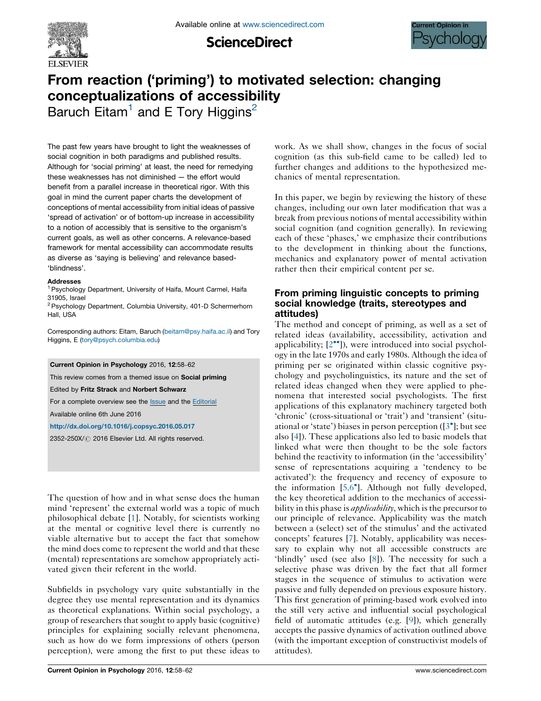

**ScienceDirect** 



# From reaction ('priming') to motivated selection: changing conceptualizations of accessibility

Baruch Eitam<sup>1</sup> and E Tory Higgins<sup>2</sup>

The past few years have brought to light the weaknesses of social cognition in both paradigms and published results. Although for 'social priming' at least, the need for remedying these weaknesses has not diminished — the effort would benefit from a parallel increase in theoretical rigor. With this goal in mind the current paper charts the development of conceptions of mental accessibility from initial ideas of passive 'spread of activation' or of bottom-up increase in accessibility to a notion of accessibly that is sensitive to the organism's current goals, as well as other concerns. A relevance-based framework for mental accessibility can accommodate results as diverse as 'saying is believing' and relevance based- 'blindness'.

#### Addresses

<sup>1</sup> Psychology Department, University of Haifa, Mount Carmel, Haifa 31905, Israel

<sup>2</sup> Psychology Department, Columbia University, 401-D Schermerhorn Hall, USA

Corresponding authors: Eitam, Baruch [\(beitam@psy.haifa.ac.il\)](mailto:beitam@psy.haifa.ac.il) and Tory Higgins, E ([tory@psych.columbia.edu\)](mailto:tory@psych.columbia.edu)

Current Opinion in Psychology 2016, 12:58–62

This review comes from a themed issue on **Social priming** 

Edited by Fritz Strack and Norbert Schwarz

For a complete overview see the [Issue](http://www.sciencedirect.com/science/journal/2352250X/12) and the [Editorial](http://dx.doi.org/10.1016/j.copsyc.2016.11.001)

Available online 6th June 2016

<http://dx.doi.org/10.1016/j.copsyc.2016.05.017>

2352-250X/ 2016 Elsevier Ltd. All rights reserved.

The question of how and in what sense does the human mind 'represent' the external world was a topic of much philosophical debate [[1\]](#page-4-0). Notably, for scientists working at the mental or cognitive level there is currently no viable alternative but to accept the fact that somehow the mind does come to represent the world and that these (mental) representations are somehow appropriately activated given their referent in the world.

Subfields in psychology vary quite substantially in the degree they use mental representation and its dynamics as theoretical explanations. Within social psychology, a group of researchers that sought to apply basic (cognitive) principles for explaining socially relevant phenomena, such as how do we form impressions of others (person perception), were among the first to put these ideas to work. As we shall show, changes in the focus of social cognition (as this sub-field came to be called) led to further changes and additions to the hypothesized mechanics of mental representation.

In this paper, we begin by reviewing the history of these changes, including our own later modification that was a break from previous notions of mental accessibility within social cognition (and cognition generally). In reviewing each of these 'phases,' we emphasize their contributions to the development in thinking about the functions, mechanics and explanatory power of mental activation rather then their empirical content per se.

## From priming linguistic concepts to priming social knowledge (traits, stereotypes and attitudes)

The method and concept of priming, as well as a set of related ideas (availability, accessibility, activation and applicability; [\[2](#page-4-0)<sup>••</sup>]), were introduced into social psychology in the late 1970s and early 1980s. Although the idea of priming per se originated within classic cognitive psychology and psycholinguistics, its nature and the set of related ideas changed when they were applied to phenomena that interested social psychologists. The first applications of this explanatory machinery targeted both 'chronic' (cross-situational or 'trait') and 'transient' (situ-ational or 'state') biases in person perception ([[3](#page-4-0)<sup>°</sup>]; but see also [\[4](#page-4-0)]). These applications also led to basic models that linked what were then thought to be the sole factors behind the reactivity to information (in the 'accessibility' sense of representations acquiring a 'tendency to be activated'): the frequency and recency of exposure to the information [\[5,6](#page-4-0)<sup>°</sup>]. Although not fully developed, the key theoretical addition to the mechanics of accessibility in this phase is *applicability*, which is the precursor to our principle of relevance. Applicability was the match between a (select) set of the stimulus' and the activated concepts' features [\[7\]](#page-4-0). Notably, applicability was necessary to explain why not all accessible constructs are 'blindly' used (see also [[8\]](#page-4-0)). The necessity for such a selective phase was driven by the fact that all former stages in the sequence of stimulus to activation were passive and fully depended on previous exposure history. This first generation of priming-based work evolved into the still very active and influential social psychological field of automatic attitudes (e.g. [\[9](#page-4-0)]), which generally accepts the passive dynamics of activation outlined above (with the important exception of constructivist models of attitudes).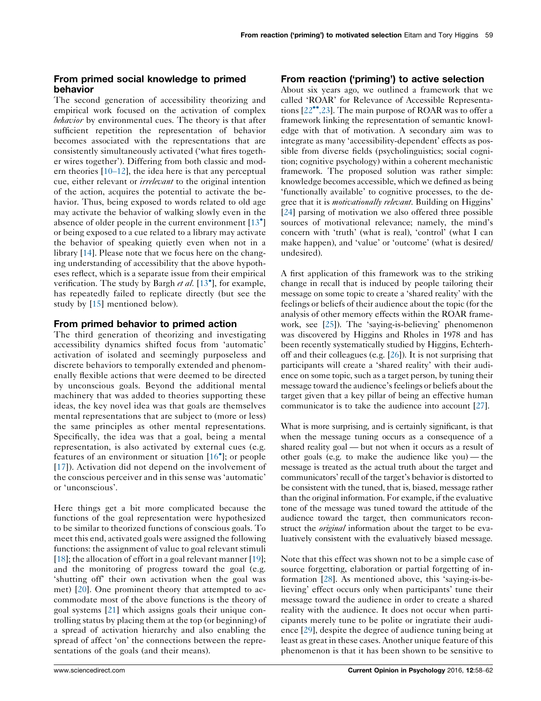## From primed social knowledge to primed behavior

The second generation of accessibility theorizing and empirical work focused on the activation of complex behavior by environmental cues. The theory is that after sufficient repetition the representation of behavior becomes associated with the representations that are consistently simultaneously activated ('what fires together wires together'). Differing from both classic and modern theories [\[10](#page-4-0)–12], the idea here is that any perceptual cue, either relevant or irrelevant to the original intention of the action, acquires the potential to activate the behavior. Thus, being exposed to words related to old age may activate the behavior of walking slowly even in the absence of older people in the current environment [\[13](#page-4-0)<sup>°</sup>] or being exposed to a cue related to a library may activate the behavior of speaking quietly even when not in a library [\[14](#page-4-0)]. Please note that we focus here on the changing understanding of accessibility that the above hypotheses reflect, which is a separate issue from their empirical verification. The study by Bargh et al.  $[13<sup>*</sup>]$  $[13<sup>*</sup>]$ , for example, has repeatedly failed to replicate directly (but see the study by [[15\]](#page-4-0) mentioned below).

#### From primed behavior to primed action

The third generation of theorizing and investigating accessibility dynamics shifted focus from 'automatic' activation of isolated and seemingly purposeless and discrete behaviors to temporally extended and phenomenally flexible actions that were deemed to be directed by unconscious goals. Beyond the additional mental machinery that was added to theories supporting these ideas, the key novel idea was that goals are themselves mental representations that are subject to (more or less) the same principles as other mental representations. Specifically, the idea was that a goal, being a mental representation, is also activated by external cues (e.g. features of an environment or situation [\[16](#page-4-0)<sup>°</sup>]; or people [\[17\]](#page-4-0)). Activation did not depend on the involvement of the conscious perceiver and in this sense was 'automatic' or 'unconscious'.

Here things get a bit more complicated because the functions of the goal representation were hypothesized to be similar to theorized functions of conscious goals. To meet this end, activated goals were assigned the following functions: the assignment of value to goal relevant stimuli [\[18](#page-4-0)]; the allocation of effort in a goal relevant manner [\[19](#page-4-0)]; and the monitoring of progress toward the goal (e.g. 'shutting off' their own activation when the goal was met) [\[20](#page-4-0)]. One prominent theory that attempted to accommodate most of the above functions is the theory of goal systems [[21\]](#page-4-0) which assigns goals their unique controlling status by placing them at the top (or beginning) of a spread of activation hierarchy and also enabling the spread of affect 'on' the connections between the representations of the goals (and their means).

## From reaction ('priming') to active selection

About six years ago, we outlined a framework that we called 'ROAR' for Relevance of Accessible Representa-tions [\[22](#page-4-0)<sup>\*\*</sup>[,23\]](#page-4-0). The main purpose of ROAR was to offer a framework linking the representation of semantic knowledge with that of motivation. A secondary aim was to integrate as many 'accessibility-dependent' effects as possible from diverse fields (psycholinguistics; social cognition; cognitive psychology) within a coherent mechanistic framework. The proposed solution was rather simple: knowledge becomes accessible, which we defined as being 'functionally available' to cognitive processes, to the degree that it is *motivationally relevant*. Building on Higgins' [\[24](#page-4-0)] parsing of motivation we also offered three possible sources of motivational relevance; namely, the mind's concern with 'truth' (what is real), 'control' (what I can make happen), and 'value' or 'outcome' (what is desired/ undesired).

A first application of this framework was to the striking change in recall that is induced by people tailoring their message on some topic to create a 'shared reality' with the feelings or beliefs of their audience about the topic (for the analysis of other memory effects within the ROAR framework, see [\[25](#page-4-0)]). The 'saying-is-believing' phenomenon was discovered by Higgins and Rholes in 1978 and has been recently systematically studied by Higgins, Echterhoff and their colleagues (e.g. [\[26\]](#page-4-0)). It is not surprising that participants will create a 'shared reality' with their audience on some topic, such as a target person, by tuning their message toward the audience'sfeelings or beliefs about the target given that a key pillar of being an effective human communicator is to take the audience into account [\[27\]](#page-4-0).

What is more surprising, and is certainly significant, is that when the message tuning occurs as a consequence of a shared reality goal — but not when it occurs as a result of other goals (e.g. to make the audience like you) — the message is treated as the actual truth about the target and communicators' recall of the target's behavior is distorted to be consistent with the tuned, that is, biased, message rather than the original information. For example, if the evaluative tone of the message was tuned toward the attitude of the audience toward the target, then communicators reconstruct the *original* information about the target to be evaluatively consistent with the evaluatively biased message.

Note that this effect was shown not to be a simple case of source forgetting, elaboration or partial forgetting of information [[28\]](#page-4-0). As mentioned above, this 'saying-is-believing' effect occurs only when participants' tune their message toward the audience in order to create a shared reality with the audience. It does not occur when participants merely tune to be polite or ingratiate their audience [[29\]](#page-4-0), despite the degree of audience tuning being at least as great in these cases. Another unique feature of this phenomenon is that it has been shown to be sensitive to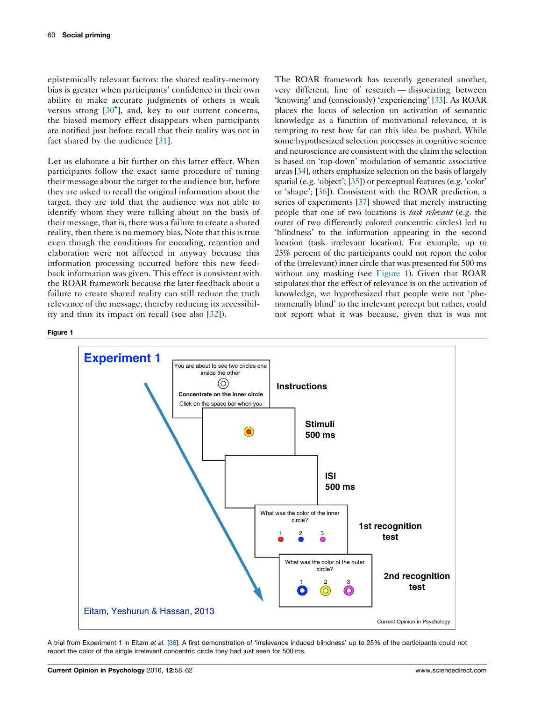epistemically relevant factors: the shared reality-memory bias is greater when participants' confidence in their own ability to make accurate judgments of others is weak versus strong  $[30^{\circ}]$  $[30^{\circ}]$ , and, key to our current concerns, the biased memory effect disappears when participants are notified just before recall that their reality was not in fact shared by the audience [[31\]](#page-4-0).

Let us elaborate a bit further on this latter effect. When participants follow the exact same procedure of tuning their message about the target to the audience but, before they are asked to recall the original information about the target, they are told that the audience was not able to identify whom they were talking about on the basis of their message, that is, there was a failure to create a shared reality, then there is no memory bias. Note that this is true even though the conditions for encoding, retention and elaboration were not affected in anyway because this information processing occurred before this new feedback information was given. This effect is consistent with the ROAR framework because the later feedback about a failure to create shared reality can still reduce the truth relevance of the message, thereby reducing its accessibility and thus its impact on recall (see also [\[32](#page-4-0)]).

The ROAR framework has recently generated another, very different, line of research — dissociating between 'knowing' and (consciously) 'experiencing' [\[33\]](#page-4-0). As ROAR places the locus of selection on activation of semantic knowledge as a function of motivational relevance, it is tempting to test how far can this idea be pushed. While some hypothesized selection processes in cognitive science and neuroscience are consistent with the claim the selection is based on 'top-down' modulation of semantic associative areas[[34](#page-4-0)], others emphasize selection on the basis of largely spatial (e.g. 'object'; [\[35](#page-4-0)]) or perceptual features (e.g. 'color' or 'shape'; [\[36](#page-4-0)]). Consistent with the ROAR prediction, a series of experiments [\[37\]](#page-4-0) showed that merely instructing people that one of two locations is task relevant (e.g. the outer of two differently colored concentric circles) led to 'blindness' to the information appearing in the second location (task irrelevant location). For example, up to 25% percent of the participants could not report the color of the (irrelevant) inner circle that was presented for 500 ms without any masking (see Figure 1). Given that ROAR stipulates that the effect of relevance is on the activation of knowledge, we hypothesized that people were not 'phenomenally blind' to the irrelevant percept but rather, could not report what it was because, given that is was not

#### Figure 1



A trial from Experiment 1 in Eitam et al. [[36\]](#page-4-0). A first demonstration of 'irrelevance induced blindness' up to 25% of the participants could not report the color of the single irrelevant concentric circle they had just seen for 500 ms.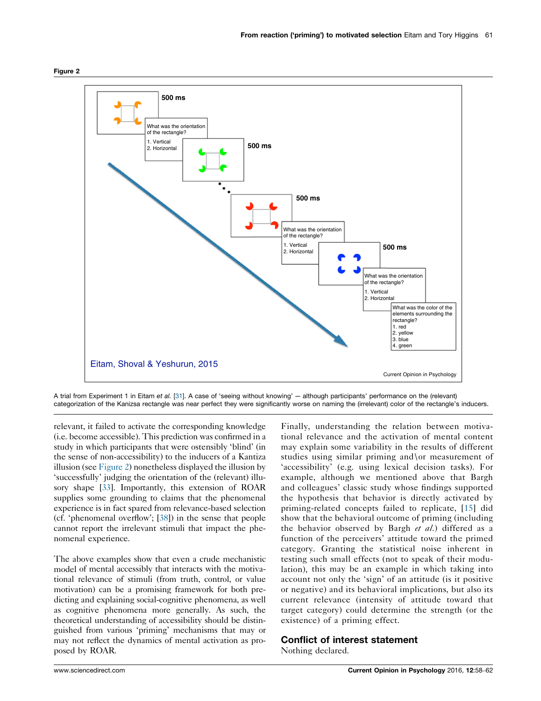



A trial from Experiment 1 in Eitam et al. [[31\]](#page-4-0). A case of 'seeing without knowing' — although participants' performance on the (relevant) categorization of the Kanizsa rectangle was near perfect they were significantly worse on naming the (irrelevant) color of the rectangle's inducers.

relevant, it failed to activate the corresponding knowledge (i.e. become accessible). This prediction was confirmed in a study in which participants that were ostensibly 'blind' (in the sense of non-accessibility) to the inducers of a Kantiza illusion (see Figure 2) nonetheless displayed the illusion by 'successfully' judging the orientation of the (relevant) illusory shape [[33](#page-4-0)]. Importantly, this extension of ROAR supplies some grounding to claims that the phenomenal experience is in fact spared from relevance-based selection (cf. 'phenomenal overflow'; [[38](#page-4-0)]) in the sense that people cannot report the irrelevant stimuli that impact the phenomenal experience.

The above examples show that even a crude mechanistic model of mental accessibly that interacts with the motivational relevance of stimuli (from truth, control, or value motivation) can be a promising framework for both predicting and explaining social-cognitive phenomena, as well as cognitive phenomena more generally. As such, the theoretical understanding of accessibility should be distinguished from various 'priming' mechanisms that may or may not reflect the dynamics of mental activation as proposed by ROAR.

Finally, understanding the relation between motivational relevance and the activation of mental content may explain some variability in the results of different studies using similar priming and\or measurement of 'accessibility' (e.g. using lexical decision tasks). For example, although we mentioned above that Bargh and colleagues' classic study whose findings supported the hypothesis that behavior is directly activated by priming-related concepts failed to replicate, [[15\]](#page-4-0) did show that the behavioral outcome of priming (including the behavior observed by Bargh et al.) differed as a function of the perceivers' attitude toward the primed category. Granting the statistical noise inherent in testing such small effects (not to speak of their modulation), this may be an example in which taking into account not only the 'sign' of an attitude (is it positive or negative) and its behavioral implications, but also its current relevance (intensity of attitude toward that target category) could determine the strength (or the existence) of a priming effect.

### Conflict of interest statement

Nothing declared.